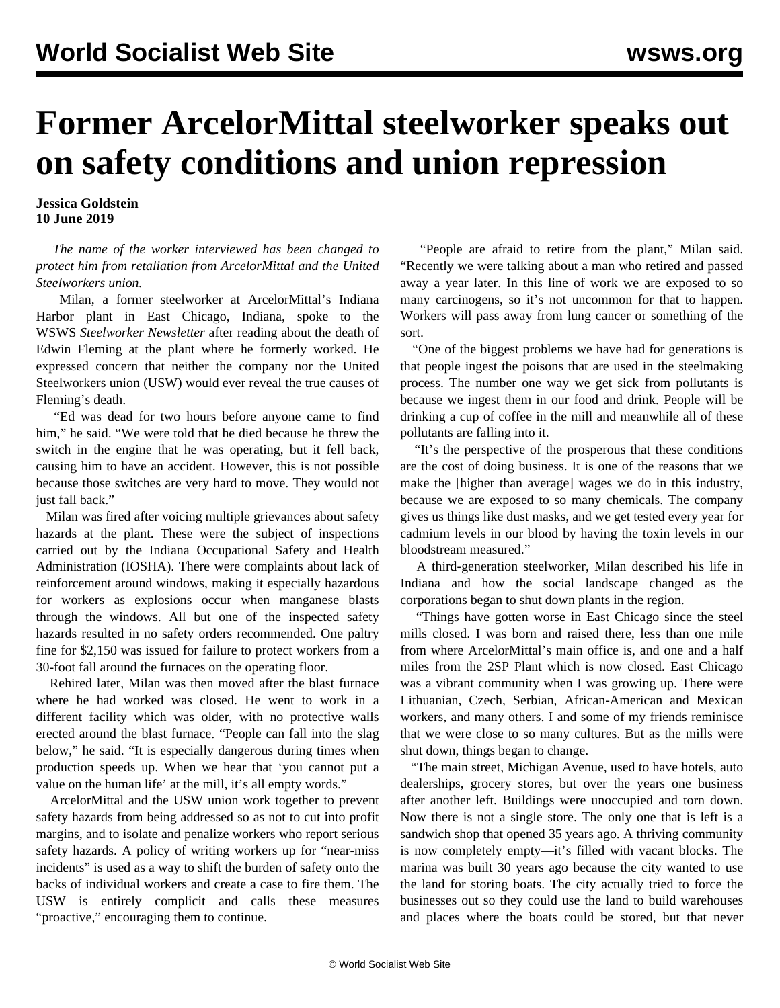## **Former ArcelorMittal steelworker speaks out on safety conditions and union repression**

**Jessica Goldstein 10 June 2019**

 *The name of the worker interviewed has been changed to protect him from retaliation from ArcelorMittal and the United Steelworkers union.*

 Milan, a former steelworker at ArcelorMittal's Indiana Harbor plant in East Chicago, Indiana, spoke to the WSWS *Steelworker Newsletter* after reading about the death of [Edwin Fleming](/en/articles/2019/04/06/arce-a06.html) at the plant where he formerly worked. He expressed concern that neither the company nor the United Steelworkers union (USW) would ever reveal the true causes of Fleming's death.

 "Ed was dead for two hours before anyone came to find him," he said. "We were told that he died because he threw the switch in the engine that he was operating, but it fell back, causing him to have an accident. However, this is not possible because those switches are very hard to move. They would not just fall back."

 Milan was fired after voicing multiple grievances about safety hazards at the plant. These were the subject of inspections carried out by the Indiana Occupational Safety and Health Administration (IOSHA). There were complaints about lack of reinforcement around windows, making it especially hazardous for workers as explosions occur when manganese blasts through the windows. All but one of the inspected safety hazards resulted in no safety orders recommended. One paltry fine for \$2,150 was issued for failure to protect workers from a 30-foot fall around the furnaces on the operating floor.

 Rehired later, Milan was then moved after the blast furnace where he had worked was closed. He went to work in a different facility which was older, with no protective walls erected around the blast furnace. "People can fall into the slag below," he said. "It is especially dangerous during times when production speeds up. When we hear that 'you cannot put a value on the human life' at the mill, it's all empty words."

 ArcelorMittal and the USW union work together to prevent safety hazards from being addressed so as not to cut into profit margins, and to isolate and penalize workers who report serious safety hazards. A policy of writing workers up for "near-miss incidents" is used as a way to shift the burden of safety onto the backs of individual workers and create a case to fire them. The USW is entirely complicit and calls these measures "proactive," encouraging them to continue.

 "People are afraid to retire from the plant," Milan said. "Recently we were talking about a man who retired and passed away a year later. In this line of work we are exposed to so many carcinogens, so it's not uncommon for that to happen. Workers will pass away from lung cancer or something of the sort.

 "One of the biggest problems we have had for generations is that people ingest the poisons that are used in the steelmaking process. The number one way we get sick from pollutants is because we ingest them in our food and drink. People will be drinking a cup of coffee in the mill and meanwhile all of these pollutants are falling into it.

 "It's the perspective of the prosperous that these conditions are the cost of doing business. It is one of the reasons that we make the [higher than average] wages we do in this industry, because we are exposed to so many chemicals. The company gives us things like dust masks, and we get tested every year for cadmium levels in our blood by having the toxin levels in our bloodstream measured."

 A third-generation steelworker, Milan described his life in Indiana and how the social landscape changed as the corporations began to shut down plants in the region.

 "Things have gotten worse in East Chicago since the steel mills closed. I was born and raised there, less than one mile from where ArcelorMittal's main office is, and one and a half miles from the 2SP Plant which is now closed. East Chicago was a vibrant community when I was growing up. There were Lithuanian, Czech, Serbian, African-American and Mexican workers, and many others. I and some of my friends reminisce that we were close to so many cultures. But as the mills were shut down, things began to change.

 "The main street, Michigan Avenue, used to have hotels, auto dealerships, grocery stores, but over the years one business after another left. Buildings were unoccupied and torn down. Now there is not a single store. The only one that is left is a sandwich shop that opened 35 years ago. A thriving community is now completely empty—it's filled with vacant blocks. The marina was built 30 years ago because the city wanted to use the land for storing boats. The city actually tried to force the businesses out so they could use the land to build warehouses and places where the boats could be stored, but that never